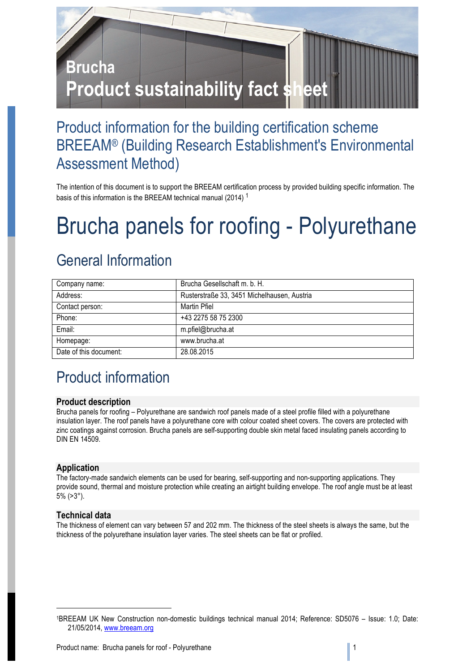

### Product information for the building certification scheme BREEAM® (Building Research Establishment's Environmental Assessment Method)

The intention of this document is to support the BREEAM certification process by provided building specific information. The basis of this information is the BREEAM technical manual (2014) <sup>1</sup>

## Brucha panels for roofing - Polyurethane

### General Information

| Company name:          | Brucha Gesellschaft m. b. H.                |
|------------------------|---------------------------------------------|
| Address:               | Rusterstraße 33, 3451 Michelhausen, Austria |
| Contact person:        | Martin Pfiel                                |
| Phone:                 | +43 2275 58 75 2300                         |
| Email:                 | m.pfiel@brucha.at                           |
| Homepage:              | www.brucha.at                               |
| Date of this document: | 28.08.2015                                  |

## Product information

### **Product description**

Brucha panels for roofing – Polyurethane are sandwich roof panels made of a steel profile filled with a polyurethane insulation layer. The roof panels have a polyurethane core with colour coated sheet covers. The covers are protected with zinc coatings against corrosion. Brucha panels are self-supporting double skin metal faced insulating panels according to DIN EN 14509.

### **Application**

The factory-made sandwich elements can be used for bearing, self-supporting and non-supporting applications. They provide sound, thermal and moisture protection while creating an airtight building envelope. The roof angle must be at least 5% (>3°).

#### **Technical data**

1

The thickness of element can vary between 57 and 202 mm. The thickness of the steel sheets is always the same, but the thickness of the polyurethane insulation layer varies. The steel sheets can be flat or profiled.

<sup>1</sup>BREEAM UK New Construction non-domestic buildings technical manual 2014; Reference: SD5076 – Issue: 1.0; Date: 21/05/2014, www.breeam.org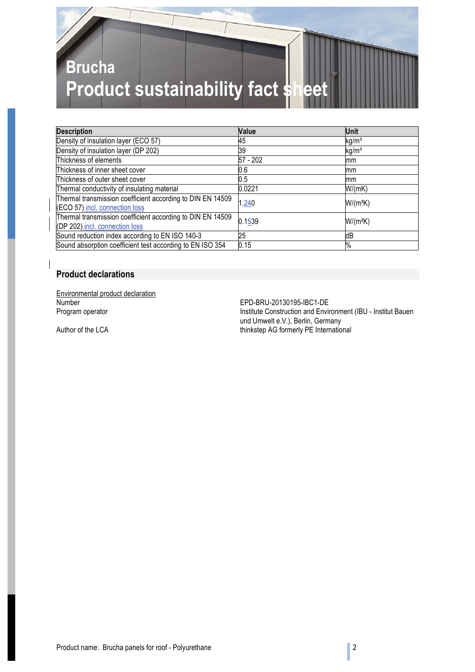# **Brucha Product sustainability fact she**

| <b>Description</b>                                                                           | Value    | Unit              |
|----------------------------------------------------------------------------------------------|----------|-------------------|
| Density of insulation layer (ECO 57)                                                         | 45       | kg/m <sup>3</sup> |
| Density of insulation layer (DP 202)                                                         | 39       | kg/m <sup>3</sup> |
| Thickness of elements                                                                        | 57 - 202 | mm                |
| Thickness of inner sheet cover                                                               | 0.6      | mm                |
| Thickness of outer sheet cover                                                               | 0.5      | mm                |
| Thermal conductivity of insulating material                                                  | 0.0221   | W/(mK)            |
| Thermal transmission coefficient according to DIN EN 14509<br>(ECO 57) incl. connection loss | 1.240    | $W/(m^2K)$        |
| Thermal transmission coefficient according to DIN EN 14509<br>(DP 202) incl. connection loss | 0.1539   | $W/(m^2K)$        |
| Sound reduction index according to EN ISO 140-3                                              | 25       | dB                |
| Sound absorption coefficient test according to EN ISO 354                                    | 0.15     | %                 |

#### **Product declarations**

Environmental product declaration<br>Number Number<br>
Number EPD-BRU-20130195-IBC1-DE<br>
Program operator<br>
Program operator

Institute Construction and Environment (IBU - Institut Bauen und Umwelt e.V.), Berlin, Germany Author of the LCA thinkstep AG formerly PE International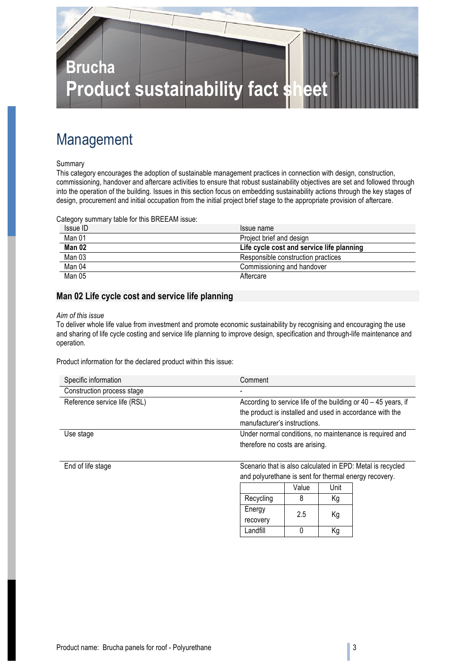

### Management

#### Summary

This category encourages the adoption of sustainable management practices in connection with design, construction, commissioning, handover and aftercare activities to ensure that robust sustainability objectives are set and followed through into the operation of the building. Issues in this section focus on embedding sustainability actions through the key stages of design, procurement and initial occupation from the initial project brief stage to the appropriate provision of aftercare.

Category summary table for this BREEAM issue:

| Issue ID | Issue name                                |
|----------|-------------------------------------------|
| Man 01   | Project brief and design                  |
| Man 02   | Life cycle cost and service life planning |
| Man 03   | Responsible construction practices        |
| Man 04   | Commissioning and handover                |
| Man 05   | Aftercare                                 |

#### **Man 02 Life cycle cost and service life planning**

#### *Aim of this issue*

To deliver whole life value from investment and promote economic sustainability by recognising and encouraging the use and sharing of life cycle costing and service life planning to improve design, specification and through-life maintenance and operation.

Product information for the declared product within this issue:

| Specific information         | Comment                                                          |
|------------------------------|------------------------------------------------------------------|
| Construction process stage   |                                                                  |
| Reference service life (RSL) | According to service life of the building or $40 - 45$ years, if |
|                              | the product is installed and used in accordance with the         |
|                              | manufacturer's instructions.                                     |
| Use stage                    | Under normal conditions, no maintenance is required and          |
|                              | therefore no costs are arising.                                  |
|                              |                                                                  |

End of life stage Scenario that is also calculated in EPD: Metal is recycled and polyurethane is sent for thermal energy recovery.

|           | Value | Unit |
|-----------|-------|------|
| Recycling | 8     | Κg   |
| Energy    | 2.5   | Κg   |
| recovery  |       |      |
| Landfill  |       | Κq   |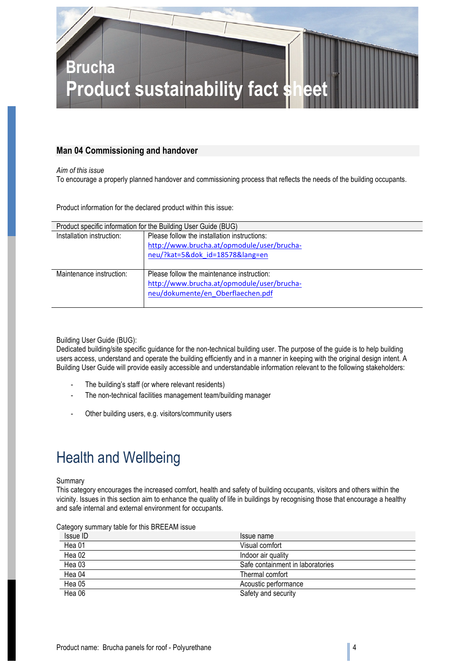

#### **Man 04 Commissioning and handover**

*Aim of this issue*

To encourage a properly planned handover and commissioning process that reflects the needs of the building occupants.

Product information for the declared product within this issue:

| Product specific information for the Building User Guide (BUG) |                                                                                                                               |  |
|----------------------------------------------------------------|-------------------------------------------------------------------------------------------------------------------------------|--|
| Installation instruction:                                      | Please follow the installation instructions:<br>http://www.brucha.at/opmodule/user/brucha-                                    |  |
|                                                                | neu/?kat=5&dok id=18578⟨=en                                                                                                   |  |
| Maintenance instruction:                                       | Please follow the maintenance instruction:<br>http://www.brucha.at/opmodule/user/brucha-<br>neu/dokumente/en Oberflaechen.pdf |  |

Building User Guide (BUG):

Dedicated building/site specific guidance for the non-technical building user. The purpose of the guide is to help building users access, understand and operate the building efficiently and in a manner in keeping with the original design intent. A Building User Guide will provide easily accessible and understandable information relevant to the following stakeholders:

- The building's staff (or where relevant residents)
- The non-technical facilities management team/building manager
- Other building users, e.g. visitors/community users

### Health and Wellbeing

#### Summary

This category encourages the increased comfort, health and safety of building occupants, visitors and others within the vicinity. Issues in this section aim to enhance the quality of life in buildings by recognising those that encourage a healthy and safe internal and external environment for occupants.

| Calegory Summary lable for this DREEAM iSSUE. |                                  |
|-----------------------------------------------|----------------------------------|
| Issue ID                                      | Issue name                       |
| Hea 01                                        | Visual comfort                   |
| Hea 02                                        | Indoor air quality               |
| Hea 03                                        | Safe containment in laboratories |
| Hea 04                                        | Thermal comfort                  |
| Hea 05                                        | Acoustic performance             |
| Hea 06                                        | Safety and security              |

Category summary table for this BREEAM issue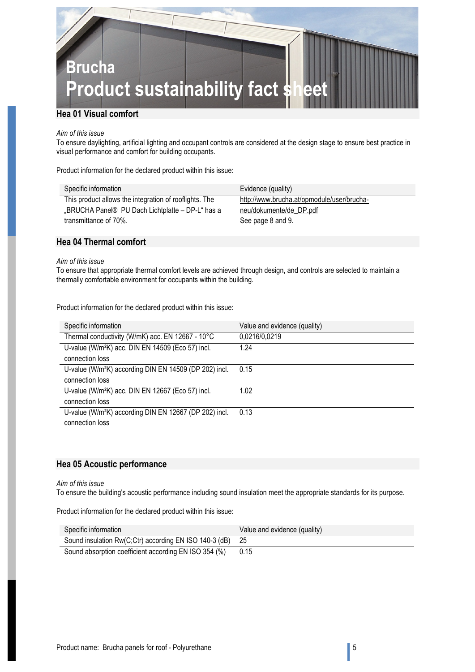

#### *Aim of this issue*

To ensure daylighting, artificial lighting and occupant controls are considered at the design stage to ensure best practice in visual performance and comfort for building occupants.

Product information for the declared product within this issue:

| Specific information                                   | Evidence (quality)                         |
|--------------------------------------------------------|--------------------------------------------|
| This product allows the integration of rooflights. The | http://www.brucha.at/opmodule/user/brucha- |
| "BRUCHA Panel® PU Dach Lichtplatte – DP-L" has a       | neu/dokumente/de DP.pdf                    |
| transmittance of 70%.                                  | See page 8 and 9.                          |
|                                                        |                                            |

### **Hea 04 Thermal comfort**

#### *Aim of this issue*

To ensure that appropriate thermal comfort levels are achieved through design, and controls are selected to maintain a thermally comfortable environment for occupants within the building.

Product information for the declared product within this issue:

| Specific information                                               | Value and evidence (quality) |
|--------------------------------------------------------------------|------------------------------|
| Thermal conductivity (W/mK) acc. EN 12667 - 10°C                   | 0,0216/0,0219                |
| U-value (W/m <sup>2</sup> K) acc. DIN EN 14509 (Eco 57) incl.      | 1.24                         |
| connection loss                                                    |                              |
| U-value (W/m <sup>2</sup> K) according DIN EN 14509 (DP 202) incl. | 0.15                         |
| connection loss                                                    |                              |
| U-value (W/m <sup>2</sup> K) acc. DIN EN 12667 (Eco 57) incl.      | 1.02                         |
| connection loss                                                    |                              |
| U-value (W/m <sup>2</sup> K) according DIN EN 12667 (DP 202) incl. | 0.13                         |
| connection loss                                                    |                              |

#### **Hea 05 Acoustic performance**

#### *Aim of this issue*

To ensure the building's acoustic performance including sound insulation meet the appropriate standards for its purpose.

Product information for the declared product within this issue:

| Specific information                                      | Value and evidence (quality) |
|-----------------------------------------------------------|------------------------------|
| Sound insulation Rw(C;Ctr) according EN ISO 140-3 (dB) 25 |                              |
| Sound absorption coefficient according EN ISO 354 (%)     | 0.15                         |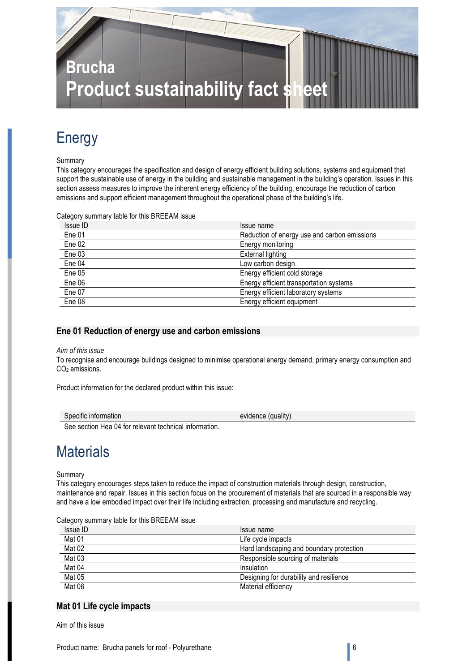

### Energy

#### Summary

This category encourages the specification and design of energy efficient building solutions, systems and equipment that support the sustainable use of energy in the building and sustainable management in the building's operation. Issues in this section assess measures to improve the inherent energy efficiency of the building, encourage the reduction of carbon emissions and support efficient management throughout the operational phase of the building's life.

Category summary table for this BREEAM issue

| Issue ID | Issue name                                   |
|----------|----------------------------------------------|
| Ene 01   | Reduction of energy use and carbon emissions |
| Ene 02   | Energy monitoring                            |
| Ene 03   | External lighting                            |
| Ene 04   | Low carbon design                            |
| Ene 05   | Energy efficient cold storage                |
| Ene 06   | Energy efficient transportation systems      |
| Ene 07   | Energy efficient laboratory systems          |
| Ene 08   | Energy efficient equipment                   |

#### **Ene 01 Reduction of energy use and carbon emissions**

#### *Aim of this issue*

To recognise and encourage buildings designed to minimise operational energy demand, primary energy consumption and CO<sub>2</sub> emissions.

Product information for the declared product within this issue:

| Specific information | $\cdots$<br>evidence<br>(quality) |  |
|----------------------|-----------------------------------|--|
|                      |                                   |  |

See section Hea 04 for relevant technical information.

### **Materials**

Summary

This category encourages steps taken to reduce the impact of construction materials through design, construction, maintenance and repair. Issues in this section focus on the procurement of materials that are sourced in a responsible way and have a low embodied impact over their life including extraction, processing and manufacture and recycling.

Category summary table for this BREEAM issue

| Issue ID | Issue name                               |
|----------|------------------------------------------|
| Mat 01   | Life cycle impacts                       |
| Mat 02   | Hard landscaping and boundary protection |
| Mat 03   | Responsible sourcing of materials        |
| Mat 04   | Insulation                               |
| Mat 05   | Designing for durability and resilience  |
| Mat 06   | Material efficiency                      |

#### **Mat 01 Life cycle impacts**

Aim of this issue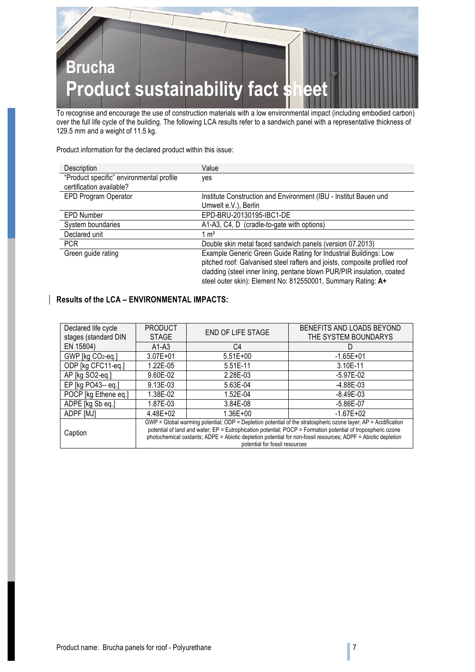

To recognise and encourage the use of construction materials with a low environmental impact (including embodied carbon) over the full life cycle of the building. The following LCA results refer to a sandwich panel with a representative thickness of 129.5 mm and a weight of 11.5 kg.

Product information for the declared product within this issue:

| Description                              | Value                                                                      |
|------------------------------------------|----------------------------------------------------------------------------|
| "Product specific" environmental profile | yes                                                                        |
| certification available?                 |                                                                            |
| EPD Program Operator                     | Institute Construction and Environment (IBU - Institut Bauen und           |
|                                          | Umwelt e.V.), Berlin                                                       |
| <b>EPD Number</b>                        | EPD-BRU-20130195-IBC1-DE                                                   |
| System boundaries                        | A1-A3, C4, D (cradle-to-gate with options)                                 |
| Declared unit                            | $1 \text{ m}^2$                                                            |
| <b>PCR</b>                               | Double skin metal faced sandwich panels (version 07.2013)                  |
| Green guide rating                       | Example Generic Green Guide Rating for Industrial Buildings: Low           |
|                                          | pitched roof: Galvanised steel rafters and joists, composite profiled roof |
|                                          | cladding (steel inner lining, pentane blown PUR/PIR insulation, coated     |
|                                          | steel outer skin): Element No: 812550001, Summary Rating: A+               |

#### **Results of the LCA – ENVIRONMENTAL IMPACTS:**

| Declared life cycle            | <b>PRODUCT</b>                                                                                                 | <b>END OF LIFE STAGE</b> | BENEFITS AND LOADS BEYOND |
|--------------------------------|----------------------------------------------------------------------------------------------------------------|--------------------------|---------------------------|
| stages (standard DIN           | <b>STAGE</b>                                                                                                   |                          | THE SYSTEM BOUNDARYS      |
| EN 15804)                      | $A1-A3$                                                                                                        | C4                       | D                         |
| GWP [kg CO2-eq.]               | $3.07E + 01$                                                                                                   | $5.51E+00$               | $-1.65E+01$               |
| ODP [kg CFC11-eq.]             | 1.22E-05                                                                                                       | 5.51E-11                 | 3.10E-11                  |
| AP [kg SO2-eq.]                | 9.60E-02                                                                                                       | 2.28E-03                 | $-5.97E-02$               |
| EP [kg PO43-- eq.]             | $9.13E-03$                                                                                                     | 5.63E-04                 | -4.88E-03                 |
| POCP [kg Ethene eq.]           | 1.38E-02                                                                                                       | 1.52E-04                 | -8.49E-03                 |
| ADPE [kg Sb eq.]               | 1.87E-03                                                                                                       | 3.84E-08                 | $-5.86E - 07$             |
| ADPF [MJ]                      | $4.48E + 02$                                                                                                   | $1.36E + 00$             | $-1.67E + 02$             |
|                                | GWP = Global warming potential; ODP = Depletion potential of the stratospheric ozone layer; AP = Acidification |                          |                           |
| Caption                        | potential of land and water; EP = Eutrophication potential; POCP = Formation potential of tropospheric ozone   |                          |                           |
|                                | photochemical oxidants; ADPE = Abiotic depletion potential for non-fossil resources; ADPF = Abiotic depletion  |                          |                           |
| potential for fossil resources |                                                                                                                |                          |                           |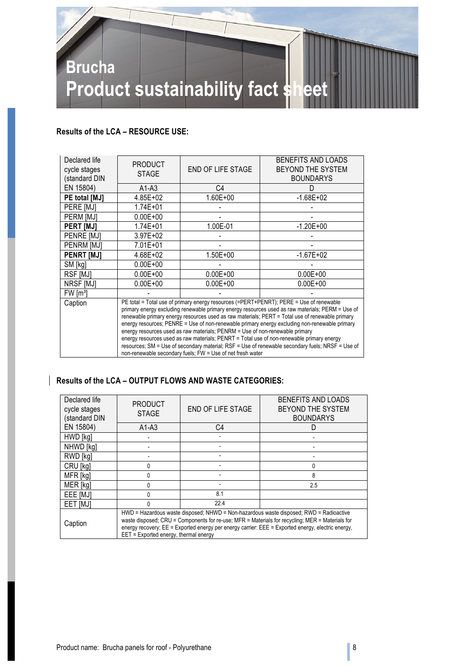

#### **Results of the LCA – RESOURCE USE:**

| Declared life<br>cycle stages<br>(standard DIN                                                                                                                                                                                                                                                                                                                                                                                                                                                                                                                                                                                                                                                                                                            | <b>PRODUCT</b><br><b>STAGE</b> | <b>END OF LIFE STAGE</b> | BENEFITS AND LOADS<br>BEYOND THE SYSTEM<br><b>BOUNDARYS</b> |
|-----------------------------------------------------------------------------------------------------------------------------------------------------------------------------------------------------------------------------------------------------------------------------------------------------------------------------------------------------------------------------------------------------------------------------------------------------------------------------------------------------------------------------------------------------------------------------------------------------------------------------------------------------------------------------------------------------------------------------------------------------------|--------------------------------|--------------------------|-------------------------------------------------------------|
| EN 15804)                                                                                                                                                                                                                                                                                                                                                                                                                                                                                                                                                                                                                                                                                                                                                 | $A1-A3$                        | C <sub>4</sub>           | D                                                           |
| PE total [MJ]                                                                                                                                                                                                                                                                                                                                                                                                                                                                                                                                                                                                                                                                                                                                             | $4.85E + 02$                   | $1.60E + 00$             | $-1.68E + 02$                                               |
| <b>PERE [MJ]</b>                                                                                                                                                                                                                                                                                                                                                                                                                                                                                                                                                                                                                                                                                                                                          | $1.74E + 01$                   |                          |                                                             |
| PERM [MJ]                                                                                                                                                                                                                                                                                                                                                                                                                                                                                                                                                                                                                                                                                                                                                 | $0.00E + 00$                   |                          |                                                             |
| <b>PERT [MJ]</b>                                                                                                                                                                                                                                                                                                                                                                                                                                                                                                                                                                                                                                                                                                                                          | $1.74E + 01$                   | 1.00E-01                 | $-1.20E + 00$                                               |
| PENRE [MJ]                                                                                                                                                                                                                                                                                                                                                                                                                                                                                                                                                                                                                                                                                                                                                | $3.97E + 02$                   |                          |                                                             |
| <b>PENRM IMJI</b>                                                                                                                                                                                                                                                                                                                                                                                                                                                                                                                                                                                                                                                                                                                                         | 7.01E+01                       |                          |                                                             |
| PENRT [MJ]                                                                                                                                                                                                                                                                                                                                                                                                                                                                                                                                                                                                                                                                                                                                                | 4.68E+02                       | $1.50E + 00$             | $-1.67E + 02$                                               |
| SM [kg]                                                                                                                                                                                                                                                                                                                                                                                                                                                                                                                                                                                                                                                                                                                                                   | $0.00E + 00$                   |                          |                                                             |
| RSF [MJ]                                                                                                                                                                                                                                                                                                                                                                                                                                                                                                                                                                                                                                                                                                                                                  | $0.00E + 00$                   | $0.00E + 00$             | $0.00E + 00$                                                |
| NRSF [MJ]                                                                                                                                                                                                                                                                                                                                                                                                                                                                                                                                                                                                                                                                                                                                                 | $0.00E + 00$                   | $0.00E + 00$             | $0.00E + 00$                                                |
| FW [m <sup>3</sup> ]                                                                                                                                                                                                                                                                                                                                                                                                                                                                                                                                                                                                                                                                                                                                      |                                |                          |                                                             |
| PE total = Total use of primary energy resources (=PERT+PENRT); PERE = Use of renewable<br>Caption<br>primary energy excluding renewable primary energy resources used as raw materials; PERM = Use of<br>renewable primary energy resources used as raw materials; PERT = Total use of renewable primary<br>energy resources; PENRE = Use of non-renewable primary energy excluding non-renewable primary<br>energy resources used as raw materials; PENRM = Use of non-renewable primary<br>energy resources used as raw materials; PENRT = Total use of non-renewable primary energy<br>resources; SM = Use of secondary material; RSF = Use of renewable secondary fuels; NRSF = Use of<br>non-renewable secondary fuels; FW = Use of net fresh water |                                |                          |                                                             |

#### **Results of the LCA – OUTPUT FLOWS AND WASTE CATEGORIES:**

| Declared life<br>cycle stages<br>(standard DIN | <b>PRODUCT</b><br><b>STAGE</b>                                                                                                                                                                                                                                                                                                          | <b>END OF LIFE STAGE</b> | BENEFITS AND LOADS<br>BEYOND THE SYSTEM<br><b>BOUNDARYS</b> |
|------------------------------------------------|-----------------------------------------------------------------------------------------------------------------------------------------------------------------------------------------------------------------------------------------------------------------------------------------------------------------------------------------|--------------------------|-------------------------------------------------------------|
| EN 15804)                                      | $A1-A3$                                                                                                                                                                                                                                                                                                                                 | C4                       |                                                             |
| HWD [kg]                                       |                                                                                                                                                                                                                                                                                                                                         |                          |                                                             |
| NHWD [kg]                                      |                                                                                                                                                                                                                                                                                                                                         |                          |                                                             |
| RWD [kg]                                       |                                                                                                                                                                                                                                                                                                                                         |                          |                                                             |
| CRU [kg]                                       |                                                                                                                                                                                                                                                                                                                                         |                          | 0                                                           |
| MFR [kg]                                       |                                                                                                                                                                                                                                                                                                                                         |                          | 8                                                           |
| MER [kg]                                       |                                                                                                                                                                                                                                                                                                                                         |                          | 2.5                                                         |
| EEE [MJ]                                       |                                                                                                                                                                                                                                                                                                                                         | 8.1                      |                                                             |
| EET [MJ]                                       |                                                                                                                                                                                                                                                                                                                                         | 22.4                     |                                                             |
| Caption                                        | HWD = Hazardous waste disposed; NHWD = Non-hazardous waste disposed; RWD = Radioactive<br>waste disposed; CRU = Components for re-use; MFR = Materials for recycling; MER = Materials for<br>energy recovery; EE = Exported energy per energy carrier: EEE = Exported energy, electric energy,<br>EET = Exported energy, thermal energy |                          |                                                             |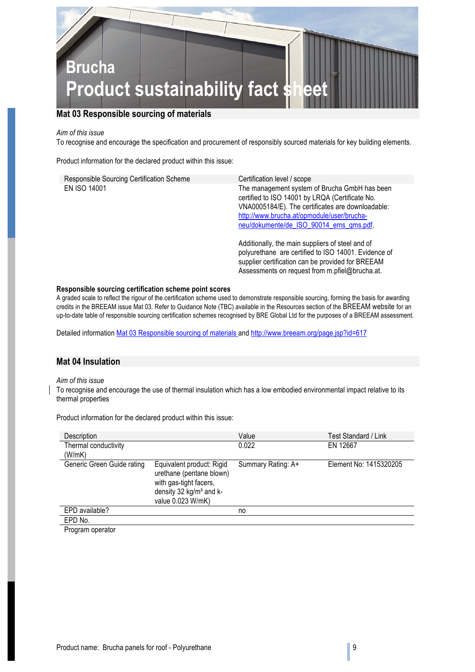

#### **Mat 03 Responsible sourcing of materials**

#### *Aim of this issue*

To recognise and encourage the specification and procurement of responsibly sourced materials for key building elements.

Product information for the declared product within this issue:

| Responsible Sourcing Certification Scheme | Certification level / scope                                                                                                                                                                                                                    |
|-------------------------------------------|------------------------------------------------------------------------------------------------------------------------------------------------------------------------------------------------------------------------------------------------|
| EN ISO 14001                              | The management system of Brucha GmbH has been<br>certified to ISO 14001 by LRQA (Certificate No.<br>VNA0005184/E). The certificates are downloadable:<br>http://www.brucha.at/opmodule/user/brucha-<br>neu/dokumente/de ISO 90014 ems qms.pdf. |
|                                           | Additionally, the main suppliers of steel and of<br>polyurethane are certified to ISO 14001. Evidence of<br>supplier certification can be provided for BREEAM                                                                                  |

#### **Responsible sourcing certification scheme point scores**

A graded scale to reflect the rigour of the certification scheme used to demonstrate responsible sourcing, forming the basis for awarding credits in the BREEAM issue Mat 03. Refer to Guidance Note (TBC) available in the Resources section of the BREEAM website for an up-to-date table of responsible sourcing certification schemes recognised by BRE Global Ltd for the purposes of a BREEAM assessment.

Assessments on request from m.pfiel@brucha.at.

Detailed information Mat 03 Responsible sourcing of materials and http://www.breeam.org/page.jsp?id=617

#### **Mat 04 Insulation**

#### *Aim of this issue*

To recognise and encourage the use of thermal insulation which has a low embodied environmental impact relative to its thermal properties

| Description                    |                                                                                                                                             | Value              | Test Standard / Link   |
|--------------------------------|---------------------------------------------------------------------------------------------------------------------------------------------|--------------------|------------------------|
| Thermal conductivity<br>(W/mK) |                                                                                                                                             | 0.022              | EN 12667               |
| Generic Green Guide rating     | Equivalent product: Rigid<br>urethane (pentane blown)<br>with gas-tight facers,<br>density 32 kg/m <sup>3</sup> and k-<br>value 0.023 W/mK) | Summary Rating: A+ | Element No: 1415320205 |
| EPD available?                 |                                                                                                                                             | no                 |                        |
| EPD No.                        |                                                                                                                                             |                    |                        |

Product information for the declared product within this issue:

Program operator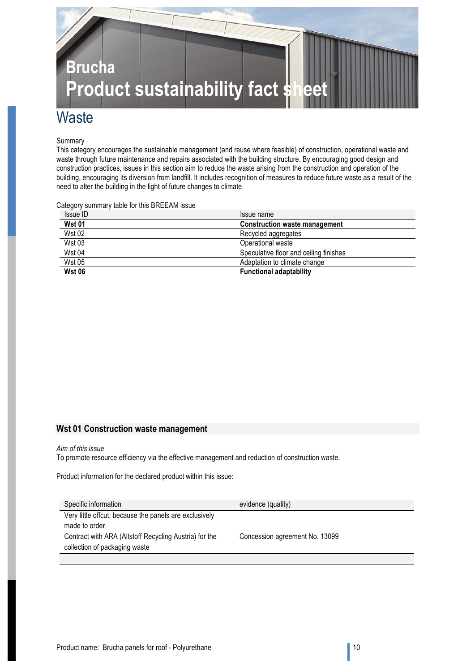

### **Waste**

#### Summary

This category encourages the sustainable management (and reuse where feasible) of construction, operational waste and waste through future maintenance and repairs associated with the building structure. By encouraging good design and construction practices, issues in this section aim to reduce the waste arising from the construction and operation of the building, encouraging its diversion from landfill. It includes recognition of measures to reduce future waste as a result of the need to alter the building in the light of future changes to climate.

Category summary table for this BREEAM issue

| Issue ID      | Issue name                             |
|---------------|----------------------------------------|
| <b>Wst 01</b> | <b>Construction waste management</b>   |
| <b>Wst 02</b> | Recycled aggregates                    |
| <b>Wst 03</b> | Operational waste                      |
| <b>Wst 04</b> | Speculative floor and ceiling finishes |
| <b>Wst 05</b> | Adaptation to climate change           |
| <b>Wst 06</b> | <b>Functional adaptability</b>         |

#### **Wst 01 Construction waste management**

#### *Aim of this issue*

To promote resource efficiency via the effective management and reduction of construction waste.

Product information for the declared product within this issue:

| Specific information                                   | evidence (quality)             |
|--------------------------------------------------------|--------------------------------|
| Very little offcut, because the panels are exclusively |                                |
| made to order                                          |                                |
| Contract with ARA (Altstoff Recycling Austria) for the | Concession agreement No. 13099 |
| collection of packaging waste                          |                                |
|                                                        |                                |